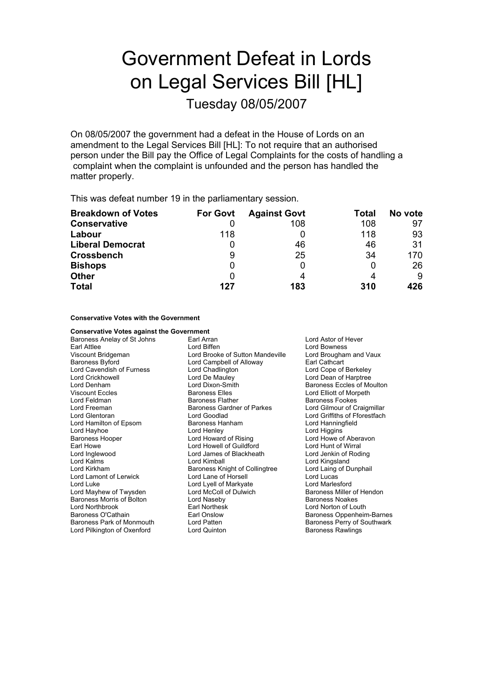## Government Defeat in Lords on Legal Services Bill [HL]

Tuesday 08/05/2007

On 08/05/2007 the government had a defeat in the House of Lords on an amendment to the Legal Services Bill [HL]: To not require that an authorised person under the Bill pay the Office of Legal Complaints for the costs of handling a complaint when the complaint is unfounded and the person has handled the matter properly.

This was defeat number 19 in the parliamentary session.

| <b>Breakdown of Votes</b> | <b>For Govt</b> | <b>Against Govt</b> | Total | No vote |
|---------------------------|-----------------|---------------------|-------|---------|
| <b>Conservative</b>       |                 | 108                 | 108   | 97      |
| Labour                    | 118             |                     | 118   | 93      |
| <b>Liberal Democrat</b>   | Ü               | 46                  | 46    | 31      |
| <b>Crossbench</b>         | 9               | 25                  | 34    | 170     |
| <b>Bishops</b>            | 0               |                     |       | 26      |
| <b>Other</b>              | 0               | Δ                   |       | 9       |
| <b>Total</b>              | 127             | 183                 | 310   | 426     |

**Conservative Votes with the Government**

| <b>Conservative Votes against the Government</b> |                                  |                               |  |
|--------------------------------------------------|----------------------------------|-------------------------------|--|
| Baroness Anelay of St Johns                      | Earl Arran                       | Lord Astor of Hever           |  |
| Earl Attlee                                      | Lord Biffen                      | Lord Bowness                  |  |
| Viscount Bridgeman                               | Lord Brooke of Sutton Mandeville | Lord Brougham and Vaux        |  |
| <b>Baroness Byford</b>                           | Lord Campbell of Alloway         | Earl Cathcart                 |  |
| Lord Cavendish of Furness                        | Lord Chadlington                 | Lord Cope of Berkeley         |  |
| Lord Crickhowell                                 | Lord De Mauley                   | Lord Dean of Harptree         |  |
| Lord Denham                                      | Lord Dixon-Smith                 | Baroness Eccles of Moulton    |  |
| <b>Viscount Eccles</b>                           | <b>Baroness Elles</b>            | Lord Elliott of Morpeth       |  |
| Lord Feldman                                     | <b>Baroness Flather</b>          | <b>Baroness Fookes</b>        |  |
| Lord Freeman                                     | Baroness Gardner of Parkes       | Lord Gilmour of Craigmillar   |  |
| Lord Glentoran                                   | Lord Goodlad                     | Lord Griffiths of Fforestfach |  |
| Lord Hamilton of Epsom                           | Baroness Hanham                  | Lord Hanningfield             |  |
| Lord Hayhoe                                      | Lord Henley                      | Lord Higgins                  |  |
| Baroness Hooper                                  | Lord Howard of Rising            | Lord Howe of Aberavon         |  |
| Earl Howe                                        | Lord Howell of Guildford         | Lord Hunt of Wirral           |  |
| Lord Inglewood                                   | Lord James of Blackheath         | Lord Jenkin of Roding         |  |
| Lord Kalms                                       | Lord Kimball                     | Lord Kingsland                |  |
| Lord Kirkham                                     | Baroness Knight of Collingtree   | Lord Laing of Dunphail        |  |
| Lord Lamont of Lerwick                           | Lord Lane of Horsell             | Lord Lucas                    |  |
| Lord Luke                                        | Lord Lyell of Markyate           | Lord Marlesford               |  |
| Lord Mayhew of Twysden                           | Lord McColl of Dulwich           | Baroness Miller of Hendon     |  |
| Baroness Morris of Bolton                        | Lord Naseby                      | Baroness Noakes               |  |
| Lord Northbrook                                  | <b>Earl Northesk</b>             | Lord Norton of Louth          |  |
| Baroness O'Cathain                               | Earl Onslow                      | Baroness Oppenheim-Barnes     |  |
| Baroness Park of Monmouth                        | Lord Patten                      | Baroness Perry of Southwark   |  |
| Lord Pilkington of Oxenford                      | Lord Quinton                     | <b>Baroness Rawlings</b>      |  |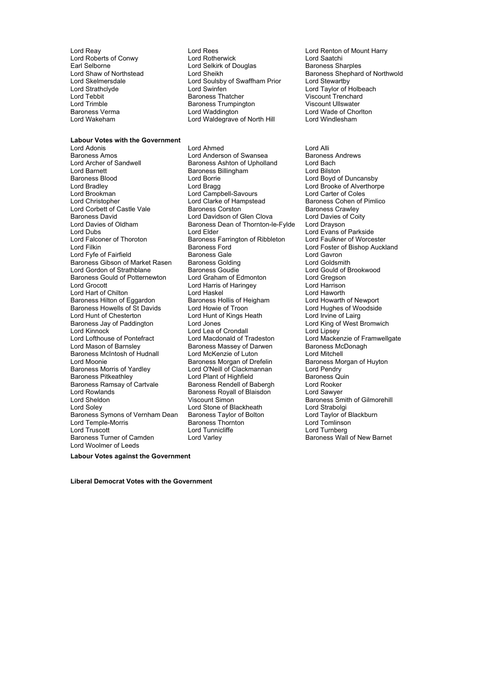Earl Selborne **Lord Selkirk of Douglas**<br> **Lord Shaw of Northstead** Lord Sheikh Lord Trimble **Baroness Trumpington**<br>Baroness Verma<br>Lord Waddington

## **Labour Votes with the Government**

Baroness Amos **Communist Communist Communist Communist Communist Communist Communist Communist Communist Communist Communist Communist Communist Communist Communist Communist Communist Communist Communist Communist Communi** Lord Archer of Sandwell Baroness Ashton of Upholland Lord Bach<br>Lord Barnett Baroness Rillingham Lord Bilston Baroness Blood Lord Borrie Lord Boyd of Duncansby Lord Bradley Lord Bragg Lord Brooke of Alverthorpe Lord Christopher Lord Clarke of Hampstead Lord Corbett of Castle Vale **Baroness Corston** And Corports Baroness Crawley<br>Baroness David Baroness Corston Baroness Corston Baroness Corston Baroness Corty Baroness David Lord Davidson of Glen Clova Lord Davies of Clen Clova Lord Davies of Clova Lord Drayson Lord Dubs<br>
Lord Evans of Parkside<br>
Lord Falconer of Thoroton 
Baroness Farrington of Ribbleton 
Lord Faulkner of Worcester Lord Falconer of Thoroton Baroness Farrington of Ribbleton<br>
Lord Filkin<br>
Baroness Ford Lord Fyfe of Fairfield **Baroness Gale** Baroness Gale Lord Gavron<br>
Baroness Gibson of Market Rasen Baroness Golding **Baroness** Cold Coldsmith Baroness Gibson of Market Rasen baroness Golding The State Lord Goldsmith<br>Lord Gordon of Strathblane Baroness Goudie Baroness Could Cord Gould of Brookwood Lord Gordon of Strathblane **Baroness Goudie** Lord Gould of I<br>Baroness Gould of Potternewton Lord Graham of Edmonton Lord Gregson Baroness Gould of Potternewton Lord Grocott **Lord Harris of Haringey** Lord Harrison Lord Hart of Chilton **Lord Haskel Communist Communist Communist** Lord Haworth Lord Haworth Lord Howarth of Newport<br>
Baroness Hilton of Eggardon Baroness Hollis of Heigham Lord Howarth of Newport Baroness Hilton of Eggardon Baroness Hollis of Heigham Lord Howarth of Newport<br>Baroness Howells of St Davids Lord Howie of Troon Lord Hughes of Woodside Baroness Howells of St Davids<br>Lord Hunt of Chesterton Lord Hunt of Chesterton Lord Hunt of Kings Heath Lord Irvine of Lairg<br>Baroness Jay of Paddington Lord Jones Lord Cord King of West E Baroness Jay of Paddington Lord Jones Corp Lord Lord King of West Bromwich<br>
Lord Kinnock Lord Lord Lord Lea of Crondall<br>
Lord Kinnock Lord Libsev Lord Kinnock<br>
Lord Lea of Crondall<br>
Lord Macdonald of Tradeston Lord Mason of Barnsley **Baroness Massey of Darwen** Baroness McDonagh<br>Baroness McIntosh of Hudnall **Ram Lord McKenzie of Luton** Cord Mitchell Baroness McIntosh of Hudnall Lord McKenzie of Luton<br>
Lord Moonie **Lord Most Lord McKenzie of Drefelin** Baroness Morgan of Huyton Lord Moonie<br>Baroness Morris of Yardley **Baroness Morgan of Drefelin**<br>Lord O'Neill of Clackmannan Baroness Morris of Yardley **Lord O'Neill of Clackmannan** Lord Pendry<br>
Baroness Pitkeathley **Clack Lord Plant of Highfield** Baroness Quin Baroness Pitkeathley The Lord Plant of Highfield Baroness Quinters Contained Baroness Quinters and Baroness Qu<br>Baroness Ramsay of Cartyale Baroness Rendell of Babergh Baroness Rendell of Babergh Baroness Ramsay of Cartvale Baroness Rendell of Babergh Lord Rowlands<br>
Baroness Rovall of Blaisdon Lord Sheldon Viscount Simon Baroness Smith of Gilmorehill Baroness Symons of Vernham Dean Baroness Taylor of Bolton Lord Taylor of B<br>Lord Taylor of Baroness Taylor of Bolton Lord Taylor of B<br>Lord Tomlinson Baroness Thornton Lord Tomlinson Lord Temple-Morris and The Baroness Thorn<br>
Lord Truscott Lord Tunnicliffe Lord Truscott Lord Tunnicliffe Lord Tunnerg<br>
Lord Turner Gramatic Lord Varley<br>
Lord Varley Corporation Charley Charley Baroness Wall Lord Woolmer of Leeds

Lord Reay **Lord Rees** Lord Rees **Lord Rees** Lord Renton of Mount Harry<br>
Lord Roberts of Conwy **Lord Rotherwick** Lord Saatchi Lord Roberts of Conwy Lord Rotherwick Lord Saatchi Lord Skelmersdale **Lord Soulsby of Swaffham Prior**<br>Lord Strathclyde **Lord Swinfen** Lord Skelmersdale Lord Soulsby of Swaffham Prior<br>
Lord Stewarthy<br>
Lord Strathclyde Lord Taylor of Holbeach<br>
Lord Tebbit Baroness Thatcher Viscount Trenchard Lord Tebbit Baroness Thatcher Viscount Trenchard Baroness Verma **and Communist Control Lord Waddington Lord Waddington Lord Wade of Chorlton**<br>
Lord Waldearave of North Hill **Lord Windlesham** Lord Waldegrave of North Hill

Lord Adonis **Lord Anned** Lord Ahmed Lord Alli<br> **Lord Anderson of Swansea** Baroness Andrews Baroness Billingham Lord Campbell-Savours<br>
Lord Clarke of Hampstead<br>
Baroness Cohen of Pimlico Baroness Dean of Thornton-le-Fylde Baroness Ford Texture Lord Foster of Bishop Auckland<br>
Raroness Gale<br>
Lord Gavron Baroness Royall of Blaisdon Lord Sawyer Lord Stone of Blackheath Lord Strabolgi<br>
Baroness Taylor of Bolton Lord Taylor of Blackburn Lord Varley **Baroness Wall of New Barnet** 

Lord Shaw of Northstead Lord Sheikh Baroness Shephard of Northwold<br>Lord Skelmersdale Lord Soulsby of Swaffham Prior Lord Stewartby

Lord Mackenzie of Framwellgate

**Labour Votes against the Government**

**Liberal Democrat Votes with the Government**